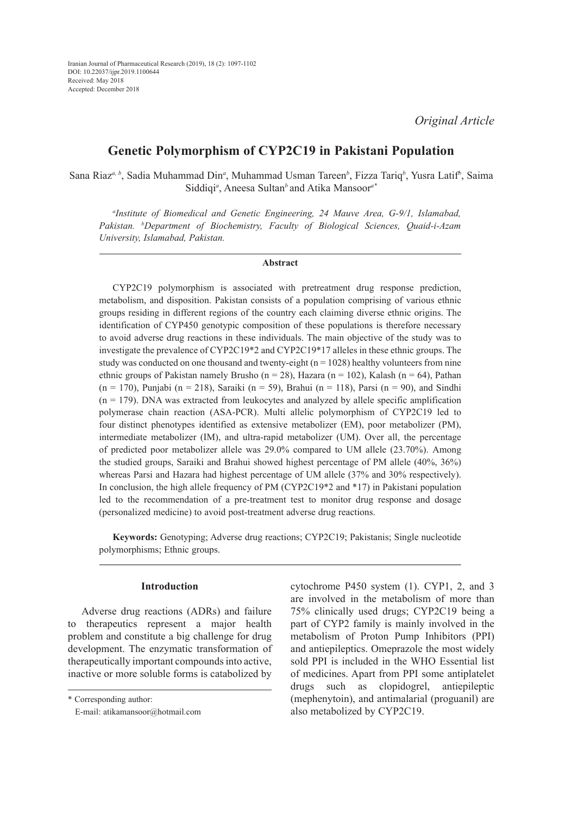# **Genetic Polymorphism of CYP2C19 in Pakistani Population**

Sana Riaz<sup>a, b</sup>, Sadia Muhammad Din<sup>a</sup>, Muhammad Usman Tareen<sup>b</sup>, Fizza Tariq<sup>b</sup>, Yusra Latif<sup>b</sup>, Saima Siddiqi*<sup>a</sup>* , Aneesa Sultan*<sup>b</sup>*and Atika Mansoor*a\**

*a Institute of Biomedical and Genetic Engineering, 24 Mauve Area, G-9/1, Islamabad, Pakistan. b Department of Biochemistry, Faculty of Biological Sciences, Quaid-i-Azam University, Islamabad, Pakistan.*

### **Abstract**

CYP2C19 polymorphism is associated with pretreatment drug response prediction, metabolism, and disposition. Pakistan consists of a population comprising of various ethnic groups residing in different regions of the country each claiming diverse ethnic origins. The identification of CYP450 genotypic composition of these populations is therefore necessary to avoid adverse drug reactions in these individuals. The main objective of the study was to investigate the prevalence of CYP2C19\*2 and CYP2C19\*17 alleles in these ethnic groups. The study was conducted on one thousand and twenty-eight  $(n = 1028)$  healthy volunteers from nine ethnic groups of Pakistan namely Brusho (n = 28), Hazara (n = 102), Kalash (n = 64), Pathan  $(n = 170)$ , Punjabi  $(n = 218)$ , Saraiki  $(n = 59)$ , Brahui  $(n = 118)$ , Parsi  $(n = 90)$ , and Sindhi  $(n = 179)$ . DNA was extracted from leukocytes and analyzed by allele specific amplification polymerase chain reaction (ASA-PCR). Multi allelic polymorphism of CYP2C19 led to four distinct phenotypes identified as extensive metabolizer (EM), poor metabolizer (PM), intermediate metabolizer (IM), and ultra-rapid metabolizer (UM). Over all, the percentage of predicted poor metabolizer allele was 29.0% compared to UM allele (23.70%). Among the studied groups, Saraiki and Brahui showed highest percentage of PM allele (40%, 36%) whereas Parsi and Hazara had highest percentage of UM allele (37% and 30% respectively). In conclusion, the high allele frequency of PM (CYP2C19\*2 and \*17) in Pakistani population led to the recommendation of a pre-treatment test to monitor drug response and dosage (personalized medicine) to avoid post-treatment adverse drug reactions.

**Keywords:** Genotyping; Adverse drug reactions; CYP2C19; Pakistanis; Single nucleotide polymorphisms; Ethnic groups.

## **Introduction**

Adverse drug reactions (ADRs) and failure to therapeutics represent a major health problem and constitute a big challenge for drug development. The enzymatic transformation of therapeutically important compounds into active, inactive or more soluble forms is catabolized by

\* Corresponding author:

E-mail: atikamansoor@hotmail.com

cytochrome P450 system (1). CYP1, 2, and 3 are involved in the metabolism of more than 75% clinically used drugs; CYP2C19 being a part of CYP2 family is mainly involved in the metabolism of Proton Pump Inhibitors (PPI) and antiepileptics. Omeprazole the most widely sold PPI is included in the WHO Essential list of medicines. Apart from PPI some antiplatelet drugs such as clopidogrel, antiepileptic (mephenytoin), and antimalarial (proguanil) are also metabolized by CYP2C19.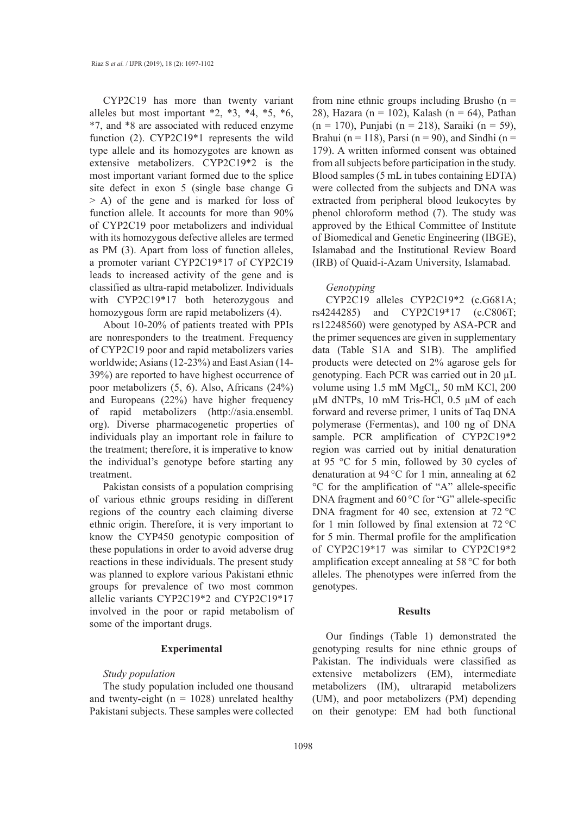CYP2C19 has more than twenty variant alleles but most important \*2, \*3, \*4, \*5, \*6, \*7, and \*8 are associated with reduced enzyme function (2). CYP2C19\*1 represents the wild type allele and its homozygotes are known as extensive metabolizers. CYP2C19\*2 is the most important variant formed due to the splice site defect in exon 5 (single base change G > A) of the gene and is marked for loss of function allele. It accounts for more than 90% of CYP2C19 poor metabolizers and individual with its homozygous defective alleles are termed as PM (3). Apart from loss of function alleles, a promoter variant CYP2C19\*17 of CYP2C19 leads to increased activity of the gene and is classified as ultra-rapid metabolizer. Individuals with CYP2C19\*17 both heterozygous and homozygous form are rapid metabolizers (4).

About 10-20% of patients treated with PPIs are nonresponders to the treatment. Frequency of CYP2C19 poor and rapid metabolizers varies worldwide; Asians (12-23%) and East Asian (14- 39%) are reported to have highest occurrence of poor metabolizers (5, 6). Also, Africans (24%) and Europeans (22%) have higher frequency of rapid metabolizers (http://asia.ensembl. org). Diverse pharmacogenetic properties of individuals play an important role in failure to the treatment; therefore, it is imperative to know the individual's genotype before starting any treatment.

Pakistan consists of a population comprising of various ethnic groups residing in different regions of the country each claiming diverse ethnic origin. Therefore, it is very important to know the CYP450 genotypic composition of these populations in order to avoid adverse drug reactions in these individuals. The present study was planned to explore various Pakistani ethnic groups for prevalence of two most common allelic variants CYP2C19\*2 and CYP2C19\*17 involved in the poor or rapid metabolism of some of the important drugs.

## **Experimental**

## *Study population*

The study population included one thousand and twenty-eight ( $n = 1028$ ) unrelated healthy Pakistani subjects. These samples were collected from nine ethnic groups including Brusho  $(n =$ 28), Hazara (n = 102), Kalash (n = 64), Pathan (n = 170), Punjabi (n = 218), Saraiki (n = 59), Brahui (n = 118), Parsi (n = 90), and Sindhi (n = 179). A written informed consent was obtained from all subjects before participation in the study. Blood samples (5 mL in tubes containing EDTA) were collected from the subjects and DNA was extracted from peripheral blood leukocytes by phenol chloroform method (7). The study was approved by the Ethical Committee of Institute of Biomedical and Genetic Engineering (IBGE), Islamabad and the Institutional Review Board (IRB) of Quaid-i-Azam University, Islamabad.

#### *Genotyping*

CYP2C19 alleles CYP2C19\*2 (c.G681A; rs4244285) and CYP2C19\*17 (c.C806T; rs12248560) were genotyped by ASA-PCR and the primer sequences are given in supplementary data (Table S1A and S1B). The amplified products were detected on 2% agarose gels for genotyping. Each PCR was carried out in 20 µL volume using  $1.5 \text{ mM MgCl}_2$ ,  $50 \text{ mM KCl}$ ,  $200 \text{ m}$  $\mu$ M dNTPs, 10 mM Tris-HCl, 0.5  $\mu$ M of each forward and reverse primer, 1 units of Taq DNA polymerase (Fermentas), and 100 ng of DNA sample. PCR amplification of CYP2C19\*2 region was carried out by initial denaturation at 95 °C for 5 min, followed by 30 cycles of denaturation at 94 °C for 1 min, annealing at 62 °C for the amplification of "A" allele-specific DNA fragment and 60 °C for "G" allele-specific DNA fragment for 40 sec, extension at 72 °C for 1 min followed by final extension at 72 °C for 5 min. Thermal profile for the amplification of CYP2C19\*17 was similar to CYP2C19\*2 amplification except annealing at 58 °C for both alleles. The phenotypes were inferred from the genotypes.

#### **Results**

Our findings (Table 1) demonstrated the genotyping results for nine ethnic groups of Pakistan. The individuals were classified as extensive metabolizers (EM), intermediate metabolizers (IM), ultrarapid metabolizers (UM), and poor metabolizers (PM) depending on their genotype: EM had both functional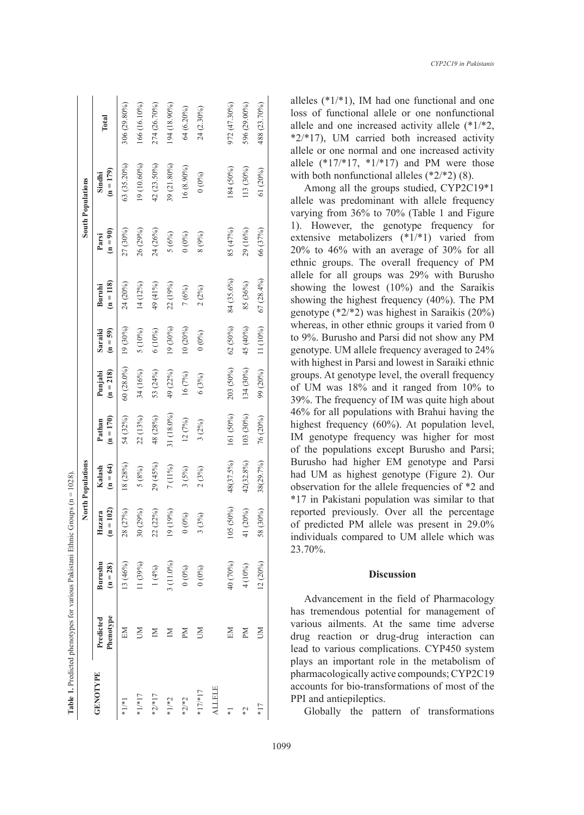| Groups $(n = 1028)$<br>Table 1. Predicted phenotypes for various Pakistani Ethnic ( | <b>South Populations</b> | Total<br>$(n = 179)$<br>Sindhi<br>$(n = 90)$<br>Parsi | 306 (29.80%)<br>63 (35.20%)<br>27 (30%) | 166 (16.10%)<br>19 (10.60%)<br>26 (29%) | 274 (26.70%)<br>42 (23.50%)<br>24 (26%) | 194 (18.90%)<br>39 (21.80%)<br>5(6%) | 64 (6.20%)<br>16 (8.90%)<br>$(0\%)$ | 24 (2.30%)<br>(0.60)<br>$8(9\%)$ |        | 972 (47.30%)<br>184 (50%)<br>85 (47%) | 596 (29.00%)<br>113 (30%)<br>29 (16%) | 488 (23.70%)<br>61 (20%) |
|-------------------------------------------------------------------------------------|--------------------------|-------------------------------------------------------|-----------------------------------------|-----------------------------------------|-----------------------------------------|--------------------------------------|-------------------------------------|----------------------------------|--------|---------------------------------------|---------------------------------------|--------------------------|
|                                                                                     | North Populations        | $(n = 118)$<br>Buruhi                                 | 24 (20%)                                | 14 (12%)                                | 49 (41%)                                | 22 (19%)                             | 7(6%)                               | 2(2%)                            |        | 84 (35.6%)                            | 85 (36%)                              | 66 (37%)<br>67 (28.4%)   |
|                                                                                     |                          | $(n = 59)$<br>Saraiki                                 | 19 (30%)                                | 5 (10%)                                 | 6 (10%)                                 | 19 (30%)                             | 10(20%)                             | (0.60)                           |        | 62 (50%)                              | 45 (40%)                              | 11 (10%)                 |
|                                                                                     |                          | $(n = 218)$<br>Punjabi                                | 60 (28.0%)                              | 34 (16%)                                | 53 (24%)                                | 49 (22%)                             | 16(7%)                              | 6(3%)                            |        | 203 (50%)                             | 134 (30%)                             | 99 (20%)                 |
|                                                                                     |                          | $(n = 170)$<br>Pathan                                 | 54 (32%)                                | 22 (13%)                                | 48 (28%)                                | 31 (18.0%)                           | 12(7%)                              | $3(2\%)$                         |        | 161 (50%)                             | 103 (30%)                             | 76 (20%)                 |
|                                                                                     |                          | $(n = 64)$<br>Kalash                                  | 18 (28%)                                | $5(8\%)$                                | 29 (45%)                                | 7 (11%)                              | $3(5\%)$                            | 2(3%)                            |        | 48(37.5%)                             | 42(32.8%)                             | 38(29.7%)                |
|                                                                                     |                          | $= 102$<br>Hazara<br>$\overline{a}$                   | (27%)<br>28 <sub>1</sub>                | 30 (29%)                                | 22 (22%)                                | (19%)<br>$\overline{19}$             | $(0\%)$<br>$\circ$                  | $(3\%)$                          |        | $(50\%)$<br>105                       | (20%)<br>$\frac{1}{4}$                | (30%)<br>58              |
|                                                                                     |                          | Burushu<br>$(n = 28)$                                 | 13 (46%)                                | (1 (39%)                                | 1(4%)                                   | 3 (11.0%)                            | $0 (0\%)$                           | $(0^{9/6})$                      |        | 40 (70%)                              | 4 (10%)                               | 12 (20%)                 |
|                                                                                     |                          | Phenotype<br>Predicted                                | EN                                      | ŠЯ                                      | $\mathbb N$                             | Σ                                    | ΣN                                  | S                                |        | EM                                    | ЫĀ                                    | ŠЯ                       |
|                                                                                     |                          | <b>GENOTYPE</b>                                       | $*1*1$                                  | $*1,*17$                                | $*2,*17$                                | $*1/*2$                              | $*2,*2$                             | $*17/*17$                        | ALLELE | 7*                                    | $\widetilde{\zeta}^*$                 | $*17$                    |

alleles  $(*1/*1)$ , IM had one functional and one loss of functional allele or one nonfunctional allele and one increased activity allele (\*1/\*2,  $*2/*17$ ), UM carried both increased activity allele or one normal and one increased activity allele  $(*17/*17, *1/*17)$  and PM were those with both nonfunctional alleles  $(*2/*2)$  (8).

Among all the groups studied, CYP2C19\*1 allele was predominant with allele frequency varying from 36% to 70% (Table 1 and Figure 1). However, the genotype frequency for extensive metabolizers (\*1/\*1) varied from 20% to 46% with an average of 30% for all ethnic groups. The overall frequency of PM allele for all groups was 29% with Burusho showing the lowest (10%) and the Saraikis showing the highest frequency (40%). The PM genotype (\*2/\*2) was highest in Saraikis (20%) whereas, in other ethnic groups it varied from 0 to 9%. Burusho and Parsi did not show any PM genotype. UM allele frequency averaged to 24% with highest in Parsi and lowest in Saraiki ethnic groups. At genotype level, the overall frequency of UM was 18% and it ranged from 10% to 39%. The frequency of IM was quite high about 46% for all populations with Brahui having the highest frequency (60%). At population level, IM genotype frequency was higher for most of the populations except Burusho and Parsi; Burusho had higher EM genotype and Parsi had UM as highest genotype (Figure 2). Our observation for the allele frequencies of \*2 and \*17 in Pakistani population was similar to that reported previously. Over all the percentage of predicted PM allele was present in 29.0% individuals compared to UM allele which was 23.70%.

## **Discussion**

Advancement in the field of Pharmacology has tremendous potential for management of various ailments. At the same time adverse drug reaction or drug-drug interaction can lead to various complications. CYP450 system plays an important role in the metabolism of pharmacologically active compounds; CYP2C19 accounts for bio-transformations of most of the PPI and antiepileptics.

Globally the pattern of transformations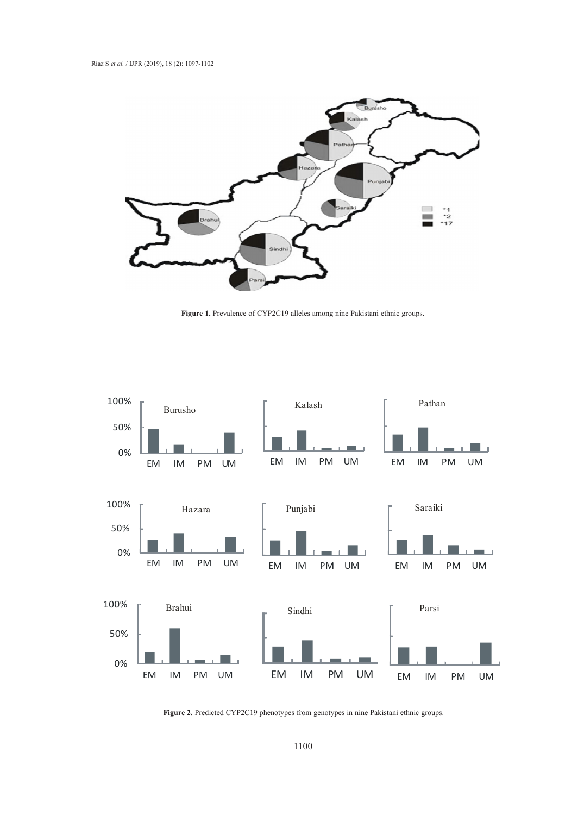

**Figure 1.** Prevalence of CYP2C19 alleles among nine Pakistani ethnic groups.



 **Figure 2.** Predicted CYP2C19 phenotypes from genotypes in nine Pakistani ethnic groups.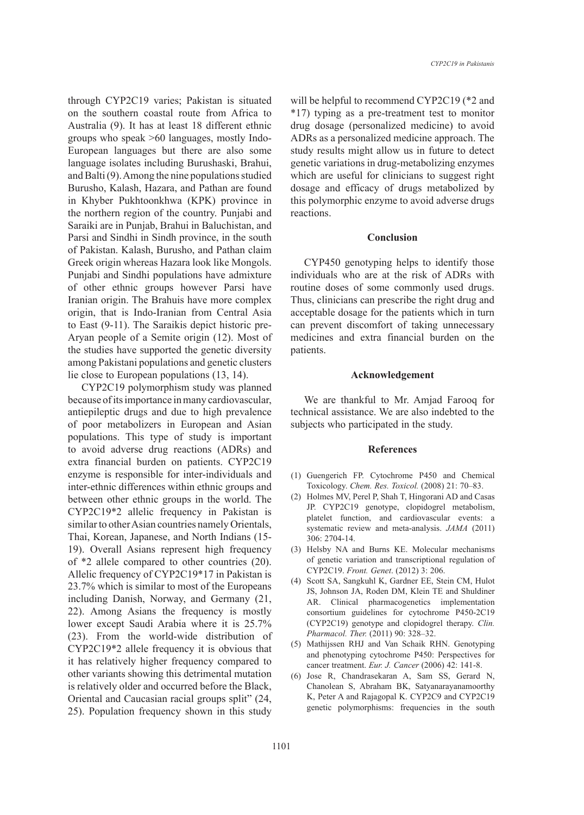through CYP2C19 varies; Pakistan is situated on the southern coastal route from Africa to Australia (9). It has at least 18 different ethnic groups who speak >60 languages, mostly Indo-European languages but there are also some language isolates including Burushaski, Brahui, and Balti (9). Among the nine populations studied Burusho, Kalash, Hazara, and Pathan are found in Khyber Pukhtoonkhwa (KPK) province in the northern region of the country. Punjabi and Saraiki are in Punjab, Brahui in Baluchistan, and Parsi and Sindhi in Sindh province, in the south of Pakistan. Kalash, Burusho, and Pathan claim Greek origin whereas Hazara look like Mongols. Punjabi and Sindhi populations have admixture of other ethnic groups however Parsi have Iranian origin. The Brahuis have more complex origin, that is Indo-Iranian from Central Asia to East (9-11). The Saraikis depict historic pre-Aryan people of a Semite origin (12). Most of the studies have supported the genetic diversity among Pakistani populations and genetic clusters lie close to European populations (13, 14).

CYP2C19 polymorphism study was planned because of its importance in many cardiovascular, antiepileptic drugs and due to high prevalence of poor metabolizers in European and Asian populations. This type of study is important to avoid adverse drug reactions (ADRs) and extra financial burden on patients. CYP2C19 enzyme is responsible for inter-individuals and inter-ethnic differences within ethnic groups and between other ethnic groups in the world. The CYP2C19\*2 allelic frequency in Pakistan is similar to other Asian countries namely Orientals, Thai, Korean, Japanese, and North Indians (15- 19). Overall Asians represent high frequency of \*2 allele compared to other countries (20). Allelic frequency of CYP2C19\*17 in Pakistan is 23.7% which is similar to most of the Europeans including Danish, Norway, and Germany (21, 22). Among Asians the frequency is mostly lower except Saudi Arabia where it is 25.7% (23). From the world-wide distribution of CYP2C19\*2 allele frequency it is obvious that it has relatively higher frequency compared to other variants showing this detrimental mutation is relatively older and occurred before the Black, Oriental and Caucasian racial groups split" (24, 25). Population frequency shown in this study will be helpful to recommend CYP2C19 (\*2 and \*17) typing as a pre-treatment test to monitor drug dosage (personalized medicine) to avoid ADRs as a personalized medicine approach. The study results might allow us in future to detect genetic variations in drug-metabolizing enzymes which are useful for clinicians to suggest right dosage and efficacy of drugs metabolized by this polymorphic enzyme to avoid adverse drugs reactions.

#### **Conclusion**

CYP450 genotyping helps to identify those individuals who are at the risk of ADRs with routine doses of some commonly used drugs. Thus, clinicians can prescribe the right drug and acceptable dosage for the patients which in turn can prevent discomfort of taking unnecessary medicines and extra financial burden on the patients.

#### **Acknowledgement**

We are thankful to Mr. Amjad Farooq for technical assistance. We are also indebted to the subjects who participated in the study.

## **References**

- (1) Guengerich FP. Cytochrome P450 and Chemical Toxicology. *Chem. Res. Toxicol.* (2008) 21: 70–83.
- (2) Holmes MV, Perel P, Shah T, Hingorani AD and Casas JP. CYP2C19 genotype, clopidogrel metabolism, platelet function, and cardiovascular events: a systematic review and meta-analysis. *JAMA* (2011) 306: 2704-14.
- (3) Helsby NA and Burns KE. Molecular mechanisms of genetic variation and transcriptional regulation of CYP2C19. *Front. Genet*. (2012) 3: 206.
- (4) Scott SA, Sangkuhl K, Gardner EE, Stein CM, Hulot JS, Johnson JA, Roden DM, Klein TE and Shuldiner AR. Clinical pharmacogenetics implementation consortium guidelines for cytochrome P450-2C19 (CYP2C19) genotype and clopidogrel therapy. *Clin. Pharmacol. Ther.* (2011) 90: 328–32.
- (5) Mathijssen RHJ and Van Schaik RHN. Genotyping and phenotyping cytochrome P450: Perspectives for cancer treatment. *Eur. J. Cancer* (2006) 42: 141-8.
- (6) Jose R, Chandrasekaran A, Sam SS, Gerard N, Chanolean S, Abraham BK, Satyanarayanamoorthy K, Peter A and Rajagopal K. CYP2C9 and CYP2C19 genetic polymorphisms: frequencies in the south